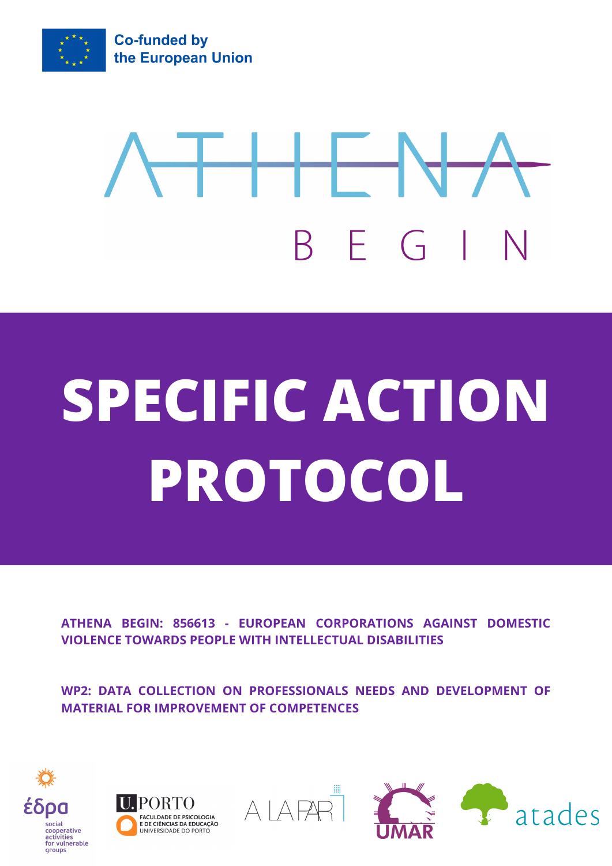

## HH NH BEGI

## **SPECIFIC ACTION PROTOCOL**

**ATHENA BEGIN: 856613 - EUROPEAN CORPORATIONS AGAINST DOMESTIC VIOLENCE TOWARDS PEOPLE WITH INTELLECTUAL DISABILITIES**

**WP2: DATA COLLECTION ON PROFESSIONALS NEEDS AND DEVELOPMENT OF MATERIAL FOR IMPROVEMENT OF COMPETENCES**







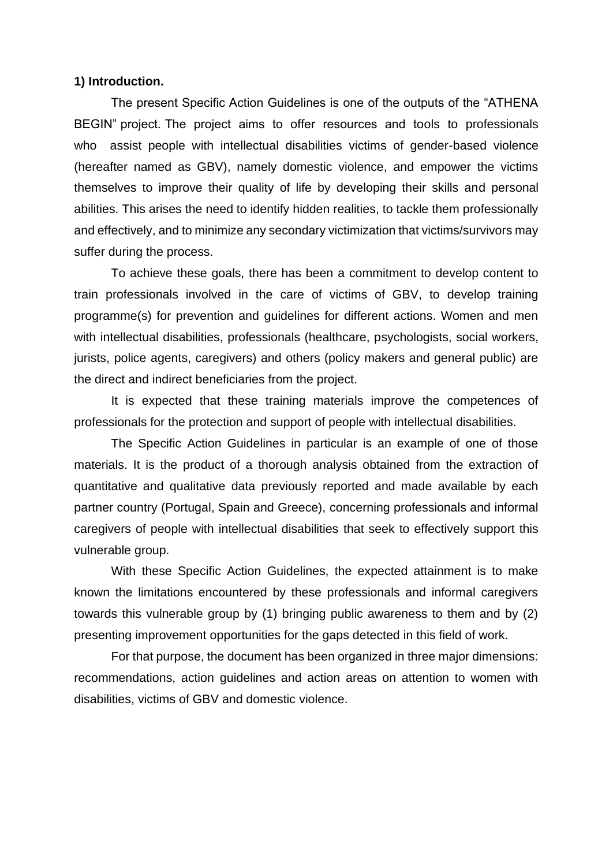#### **1) Introduction.**

The present Specific Action Guidelines is one of the outputs of the "ATHENA BEGIN" project. The project aims to offer resources and tools to professionals who assist people with intellectual disabilities victims of gender-based violence (hereafter named as GBV), namely domestic violence, and empower the victims themselves to improve their quality of life by developing their skills and personal abilities. This arises the need to identify hidden realities, to tackle them professionally and effectively, and to minimize any secondary victimization that victims/survivors may suffer during the process.

To achieve these goals, there has been a commitment to develop content to train professionals involved in the care of victims of GBV, to develop training programme(s) for prevention and guidelines for different actions. Women and men with intellectual disabilities, professionals (healthcare, psychologists, social workers, jurists, police agents, caregivers) and others (policy makers and general public) are the direct and indirect beneficiaries from the project.

It is expected that these training materials improve the competences of professionals for the protection and support of people with intellectual disabilities.

The Specific Action Guidelines in particular is an example of one of those materials. It is the product of a thorough analysis obtained from the extraction of quantitative and qualitative data previously reported and made available by each partner country (Portugal, Spain and Greece), concerning professionals and informal caregivers of people with intellectual disabilities that seek to effectively support this vulnerable group.

With these Specific Action Guidelines, the expected attainment is to make known the limitations encountered by these professionals and informal caregivers towards this vulnerable group by (1) bringing public awareness to them and by (2) presenting improvement opportunities for the gaps detected in this field of work.

For that purpose, the document has been organized in three major dimensions: recommendations, action guidelines and action areas on attention to women with disabilities, victims of GBV and domestic violence.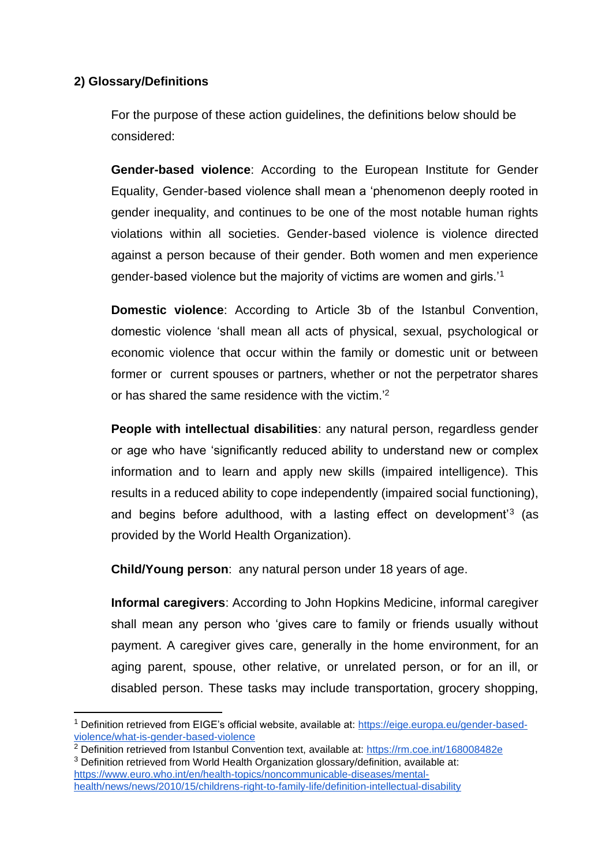#### **2) Glossary/Definitions**

For the purpose of these action guidelines, the definitions below should be considered:

**Gender-based violence**: According to the European Institute for Gender Equality, Gender-based violence shall mean a 'phenomenon deeply rooted in gender inequality, and continues to be one of the most notable human rights violations within all societies. Gender-based violence is violence directed against a person because of their gender. Both women and men experience gender-based violence but the majority of victims are women and girls.'<sup>1</sup>

**Domestic violence**: According to Article 3b of the Istanbul Convention, domestic violence 'shall mean all acts of physical, sexual, psychological or economic violence that occur within the family or domestic unit or between former or current spouses or partners, whether or not the perpetrator shares or has shared the same residence with the victim.'<sup>2</sup>

**People with intellectual disabilities**: any natural person, regardless gender or age who have 'significantly reduced ability to understand new or complex information and to learn and apply new skills (impaired intelligence). This results in a reduced ability to cope independently (impaired social functioning), and begins before adulthood, with a lasting effect on development<sup>'3</sup> (as provided by the World Health Organization).

**Child/Young person**: any natural person under 18 years of age.

**Informal caregivers**: According to John Hopkins Medicine, informal caregiver shall mean any person who 'gives care to family or friends usually without payment. A caregiver gives care, generally in the home environment, for an aging parent, spouse, other relative, or unrelated person, or for an ill, or disabled person. These tasks may include transportation, grocery shopping,

<sup>1</sup> Definition retrieved from EIGE's official website, available at: [https://eige.europa.eu/gender-based](https://eige.europa.eu/gender-based-violence/what-is-gender-based-violence)[violence/what-is-gender-based-violence](https://eige.europa.eu/gender-based-violence/what-is-gender-based-violence)

<sup>&</sup>lt;sup>2</sup> Definition retrieved from Istanbul Convention text, available at:<https://rm.coe.int/168008482e> <sup>3</sup> Definition retrieved from World Health Organization glossary/definition, available at:

[https://www.euro.who.int/en/health-topics/noncommunicable-diseases/mental](https://www.euro.who.int/en/health-topics/noncommunicable-diseases/mental-health/news/news/2010/15/childrens-right-to-family-life/definition-intellectual-disability)[health/news/news/2010/15/childrens-right-to-family-life/definition-intellectual-disability](https://www.euro.who.int/en/health-topics/noncommunicable-diseases/mental-health/news/news/2010/15/childrens-right-to-family-life/definition-intellectual-disability)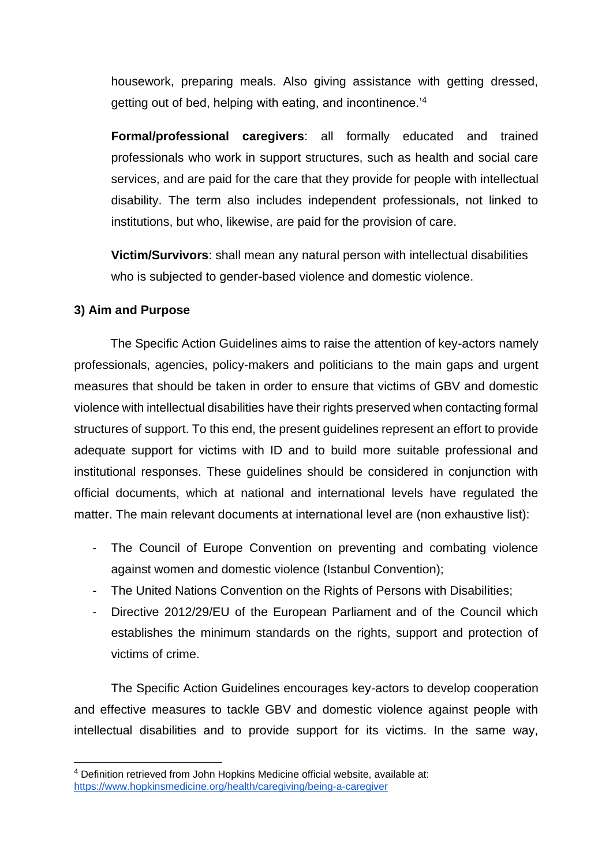housework, preparing meals. Also giving assistance with getting dressed, getting out of bed, helping with eating, and incontinence.'<sup>4</sup>

**Formal/professional caregivers**: all formally educated and trained professionals who work in support structures, such as health and social care services, and are paid for the care that they provide for people with intellectual disability. The term also includes independent professionals, not linked to institutions, but who, likewise, are paid for the provision of care.

**Victim/Survivors**: shall mean any natural person with intellectual disabilities who is subjected to gender-based violence and domestic violence.

#### **3) Aim and Purpose**

The Specific Action Guidelines aims to raise the attention of key-actors namely professionals, agencies, policy-makers and politicians to the main gaps and urgent measures that should be taken in order to ensure that victims of GBV and domestic violence with intellectual disabilities have their rights preserved when contacting formal structures of support. To this end, the present guidelines represent an effort to provide adequate support for victims with ID and to build more suitable professional and institutional responses. These guidelines should be considered in conjunction with official documents, which at national and international levels have regulated the matter. The main relevant documents at international level are (non exhaustive list):

- The Council of Europe Convention on preventing and combating violence against women and domestic violence (Istanbul Convention);
- The United Nations Convention on the Rights of Persons with Disabilities;
- Directive 2012/29/EU of the European Parliament and of the Council which establishes the minimum standards on the rights, support and protection of victims of crime.

The Specific Action Guidelines encourages key-actors to develop cooperation and effective measures to tackle GBV and domestic violence against people with intellectual disabilities and to provide support for its victims. In the same way,

<sup>4</sup> Definition retrieved from John Hopkins Medicine official website, available at: <https://www.hopkinsmedicine.org/health/caregiving/being-a-caregiver>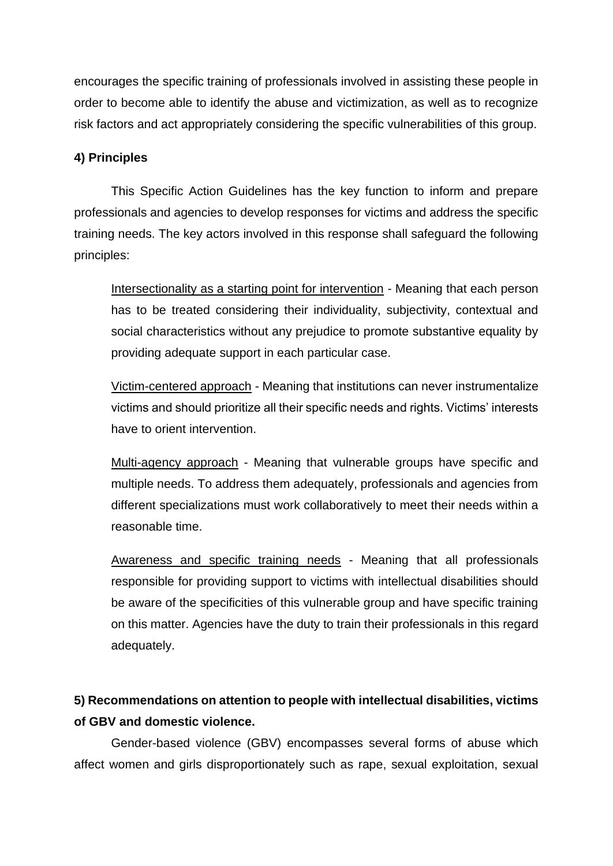encourages the specific training of professionals involved in assisting these people in order to become able to identify the abuse and victimization, as well as to recognize risk factors and act appropriately considering the specific vulnerabilities of this group.

#### **4) Principles**

This Specific Action Guidelines has the key function to inform and prepare professionals and agencies to develop responses for victims and address the specific training needs. The key actors involved in this response shall safeguard the following principles:

Intersectionality as a starting point for intervention - Meaning that each person has to be treated considering their individuality, subjectivity, contextual and social characteristics without any prejudice to promote substantive equality by providing adequate support in each particular case.

Victim-centered approach - Meaning that institutions can never instrumentalize victims and should prioritize all their specific needs and rights. Victims' interests have to orient intervention.

Multi-agency approach - Meaning that vulnerable groups have specific and multiple needs. To address them adequately, professionals and agencies from different specializations must work collaboratively to meet their needs within a reasonable time.

Awareness and specific training needs - Meaning that all professionals responsible for providing support to victims with intellectual disabilities should be aware of the specificities of this vulnerable group and have specific training on this matter. Agencies have the duty to train their professionals in this regard adequately.

### **5) Recommendations on attention to people with intellectual disabilities, victims of GBV and domestic violence.**

Gender-based violence (GBV) encompasses several forms of abuse which affect women and girls disproportionately such as rape, sexual exploitation, sexual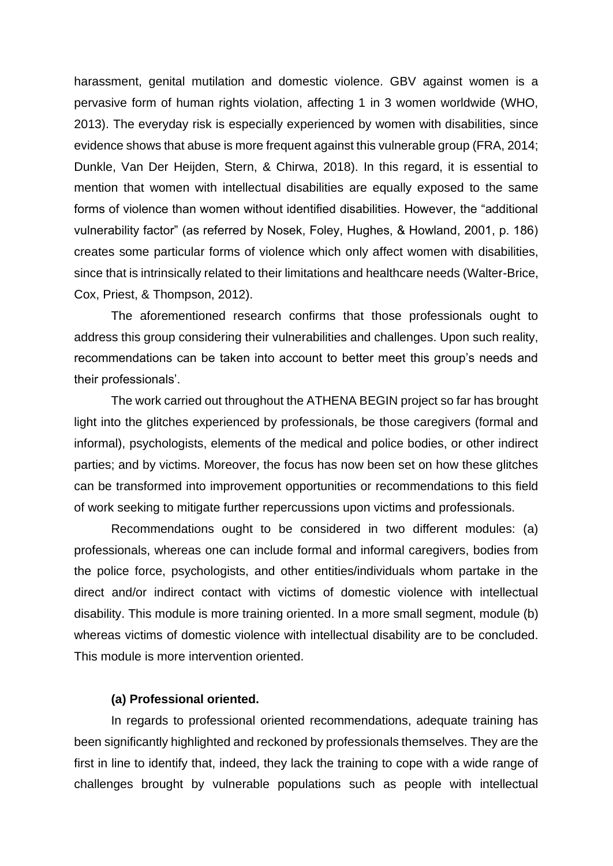harassment, genital mutilation and domestic violence. GBV against women is a pervasive form of human rights violation, affecting 1 in 3 women worldwide (WHO, 2013). The everyday risk is especially experienced by women with disabilities, since evidence shows that abuse is more frequent against this vulnerable group (FRA, 2014; Dunkle, Van Der Heijden, Stern, & Chirwa, 2018). In this regard, it is essential to mention that women with intellectual disabilities are equally exposed to the same forms of violence than women without identified disabilities. However, the "additional vulnerability factor" (as referred by Nosek, Foley, Hughes, & Howland, 2001, p. 186) creates some particular forms of violence which only affect women with disabilities, since that is intrinsically related to their limitations and healthcare needs (Walter-Brice, Cox, Priest, & Thompson, 2012).

The aforementioned research confirms that those professionals ought to address this group considering their vulnerabilities and challenges. Upon such reality, recommendations can be taken into account to better meet this group's needs and their professionals'.

The work carried out throughout the ATHENA BEGIN project so far has brought light into the glitches experienced by professionals, be those caregivers (formal and informal), psychologists, elements of the medical and police bodies, or other indirect parties; and by victims. Moreover, the focus has now been set on how these glitches can be transformed into improvement opportunities or recommendations to this field of work seeking to mitigate further repercussions upon victims and professionals.

Recommendations ought to be considered in two different modules: (a) professionals, whereas one can include formal and informal caregivers, bodies from the police force, psychologists, and other entities/individuals whom partake in the direct and/or indirect contact with victims of domestic violence with intellectual disability. This module is more training oriented. In a more small segment, module (b) whereas victims of domestic violence with intellectual disability are to be concluded. This module is more intervention oriented.

#### **(a) Professional oriented.**

In regards to professional oriented recommendations, adequate training has been significantly highlighted and reckoned by professionals themselves. They are the first in line to identify that, indeed, they lack the training to cope with a wide range of challenges brought by vulnerable populations such as people with intellectual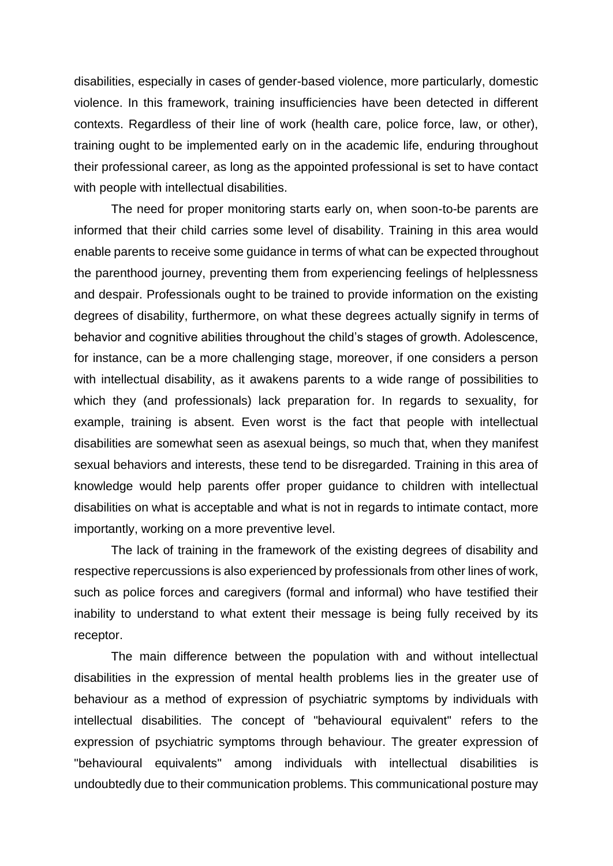disabilities, especially in cases of gender-based violence, more particularly, domestic violence. In this framework, training insufficiencies have been detected in different contexts. Regardless of their line of work (health care, police force, law, or other), training ought to be implemented early on in the academic life, enduring throughout their professional career, as long as the appointed professional is set to have contact with people with intellectual disabilities.

The need for proper monitoring starts early on, when soon-to-be parents are informed that their child carries some level of disability. Training in this area would enable parents to receive some guidance in terms of what can be expected throughout the parenthood journey, preventing them from experiencing feelings of helplessness and despair. Professionals ought to be trained to provide information on the existing degrees of disability, furthermore, on what these degrees actually signify in terms of behavior and cognitive abilities throughout the child's stages of growth. Adolescence, for instance, can be a more challenging stage, moreover, if one considers a person with intellectual disability, as it awakens parents to a wide range of possibilities to which they (and professionals) lack preparation for. In regards to sexuality, for example, training is absent. Even worst is the fact that people with intellectual disabilities are somewhat seen as asexual beings, so much that, when they manifest sexual behaviors and interests, these tend to be disregarded. Training in this area of knowledge would help parents offer proper guidance to children with intellectual disabilities on what is acceptable and what is not in regards to intimate contact, more importantly, working on a more preventive level.

The lack of training in the framework of the existing degrees of disability and respective repercussions is also experienced by professionals from other lines of work, such as police forces and caregivers (formal and informal) who have testified their inability to understand to what extent their message is being fully received by its receptor.

The main difference between the population with and without intellectual disabilities in the expression of mental health problems lies in the greater use of behaviour as a method of expression of psychiatric symptoms by individuals with intellectual disabilities. The concept of "behavioural equivalent" refers to the expression of psychiatric symptoms through behaviour. The greater expression of "behavioural equivalents" among individuals with intellectual disabilities is undoubtedly due to their communication problems. This communicational posture may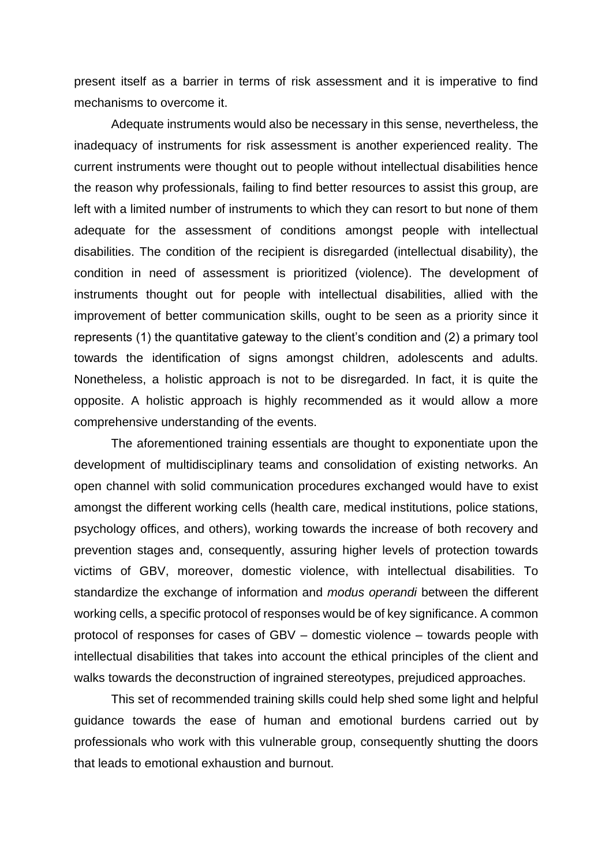present itself as a barrier in terms of risk assessment and it is imperative to find mechanisms to overcome it.

Adequate instruments would also be necessary in this sense, nevertheless, the inadequacy of instruments for risk assessment is another experienced reality. The current instruments were thought out to people without intellectual disabilities hence the reason why professionals, failing to find better resources to assist this group, are left with a limited number of instruments to which they can resort to but none of them adequate for the assessment of conditions amongst people with intellectual disabilities. The condition of the recipient is disregarded (intellectual disability), the condition in need of assessment is prioritized (violence). The development of instruments thought out for people with intellectual disabilities, allied with the improvement of better communication skills, ought to be seen as a priority since it represents (1) the quantitative gateway to the client's condition and (2) a primary tool towards the identification of signs amongst children, adolescents and adults. Nonetheless, a holistic approach is not to be disregarded. In fact, it is quite the opposite. A holistic approach is highly recommended as it would allow a more comprehensive understanding of the events.

The aforementioned training essentials are thought to exponentiate upon the development of multidisciplinary teams and consolidation of existing networks. An open channel with solid communication procedures exchanged would have to exist amongst the different working cells (health care, medical institutions, police stations, psychology offices, and others), working towards the increase of both recovery and prevention stages and, consequently, assuring higher levels of protection towards victims of GBV, moreover, domestic violence, with intellectual disabilities. To standardize the exchange of information and *modus operandi* between the different working cells, a specific protocol of responses would be of key significance. A common protocol of responses for cases of GBV – domestic violence – towards people with intellectual disabilities that takes into account the ethical principles of the client and walks towards the deconstruction of ingrained stereotypes, prejudiced approaches.

This set of recommended training skills could help shed some light and helpful guidance towards the ease of human and emotional burdens carried out by professionals who work with this vulnerable group, consequently shutting the doors that leads to emotional exhaustion and burnout.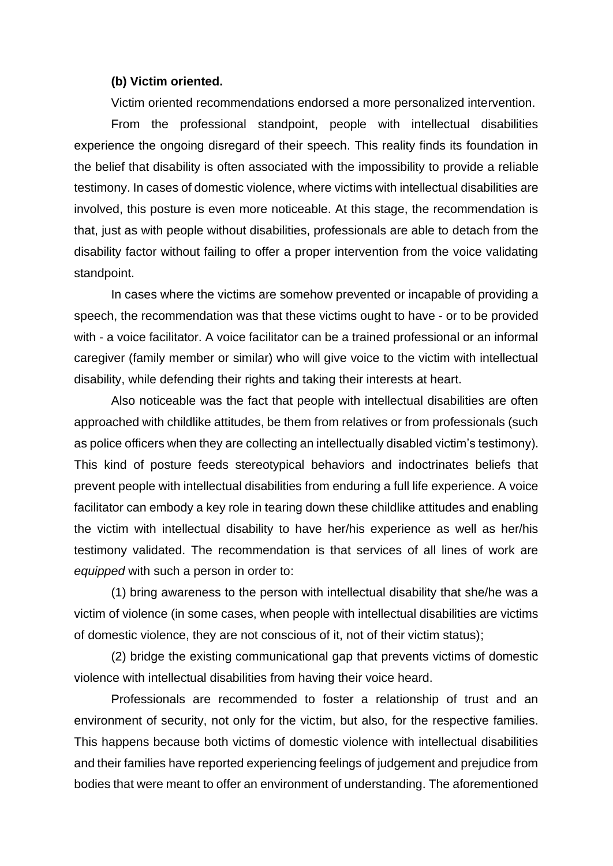#### **(b) Victim oriented.**

Victim oriented recommendations endorsed a more personalized intervention.

From the professional standpoint, people with intellectual disabilities experience the ongoing disregard of their speech. This reality finds its foundation in the belief that disability is often associated with the impossibility to provide a reliable testimony. In cases of domestic violence, where victims with intellectual disabilities are involved, this posture is even more noticeable. At this stage, the recommendation is that, just as with people without disabilities, professionals are able to detach from the disability factor without failing to offer a proper intervention from the voice validating standpoint.

In cases where the victims are somehow prevented or incapable of providing a speech, the recommendation was that these victims ought to have - or to be provided with - a voice facilitator. A voice facilitator can be a trained professional or an informal caregiver (family member or similar) who will give voice to the victim with intellectual disability, while defending their rights and taking their interests at heart.

Also noticeable was the fact that people with intellectual disabilities are often approached with childlike attitudes, be them from relatives or from professionals (such as police officers when they are collecting an intellectually disabled victim's testimony). This kind of posture feeds stereotypical behaviors and indoctrinates beliefs that prevent people with intellectual disabilities from enduring a full life experience. A voice facilitator can embody a key role in tearing down these childlike attitudes and enabling the victim with intellectual disability to have her/his experience as well as her/his testimony validated. The recommendation is that services of all lines of work are *equipped* with such a person in order to:

(1) bring awareness to the person with intellectual disability that she/he was a victim of violence (in some cases, when people with intellectual disabilities are victims of domestic violence, they are not conscious of it, not of their victim status);

(2) bridge the existing communicational gap that prevents victims of domestic violence with intellectual disabilities from having their voice heard.

Professionals are recommended to foster a relationship of trust and an environment of security, not only for the victim, but also, for the respective families. This happens because both victims of domestic violence with intellectual disabilities and their families have reported experiencing feelings of judgement and prejudice from bodies that were meant to offer an environment of understanding. The aforementioned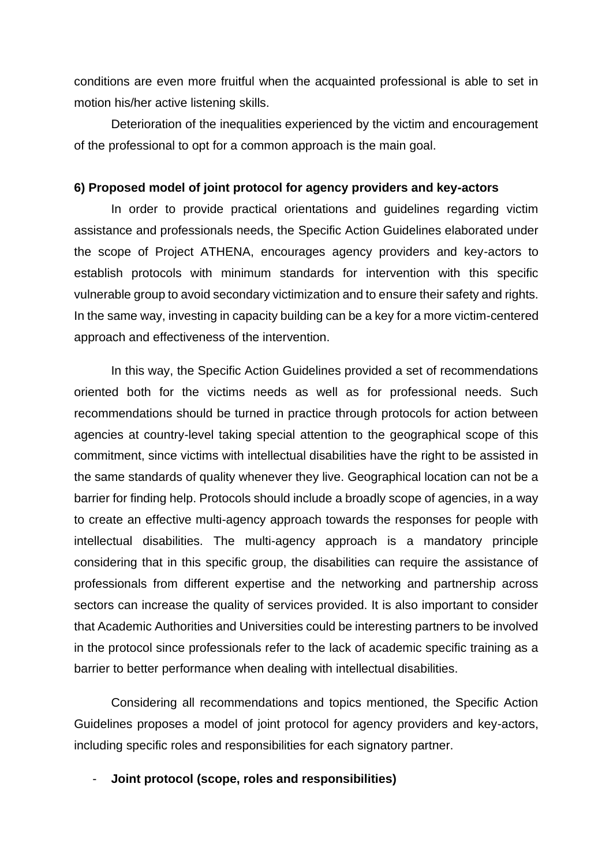conditions are even more fruitful when the acquainted professional is able to set in motion his/her active listening skills.

Deterioration of the inequalities experienced by the victim and encouragement of the professional to opt for a common approach is the main goal.

#### **6) Proposed model of joint protocol for agency providers and key-actors**

In order to provide practical orientations and guidelines regarding victim assistance and professionals needs, the Specific Action Guidelines elaborated under the scope of Project ATHENA, encourages agency providers and key-actors to establish protocols with minimum standards for intervention with this specific vulnerable group to avoid secondary victimization and to ensure their safety and rights. In the same way, investing in capacity building can be a key for a more victim-centered approach and effectiveness of the intervention.

In this way, the Specific Action Guidelines provided a set of recommendations oriented both for the victims needs as well as for professional needs. Such recommendations should be turned in practice through protocols for action between agencies at country-level taking special attention to the geographical scope of this commitment, since victims with intellectual disabilities have the right to be assisted in the same standards of quality whenever they live. Geographical location can not be a barrier for finding help. Protocols should include a broadly scope of agencies, in a way to create an effective multi-agency approach towards the responses for people with intellectual disabilities. The multi-agency approach is a mandatory principle considering that in this specific group, the disabilities can require the assistance of professionals from different expertise and the networking and partnership across sectors can increase the quality of services provided. It is also important to consider that Academic Authorities and Universities could be interesting partners to be involved in the protocol since professionals refer to the lack of academic specific training as a barrier to better performance when dealing with intellectual disabilities.

Considering all recommendations and topics mentioned, the Specific Action Guidelines proposes a model of joint protocol for agency providers and key-actors, including specific roles and responsibilities for each signatory partner.

- **Joint protocol (scope, roles and responsibilities)**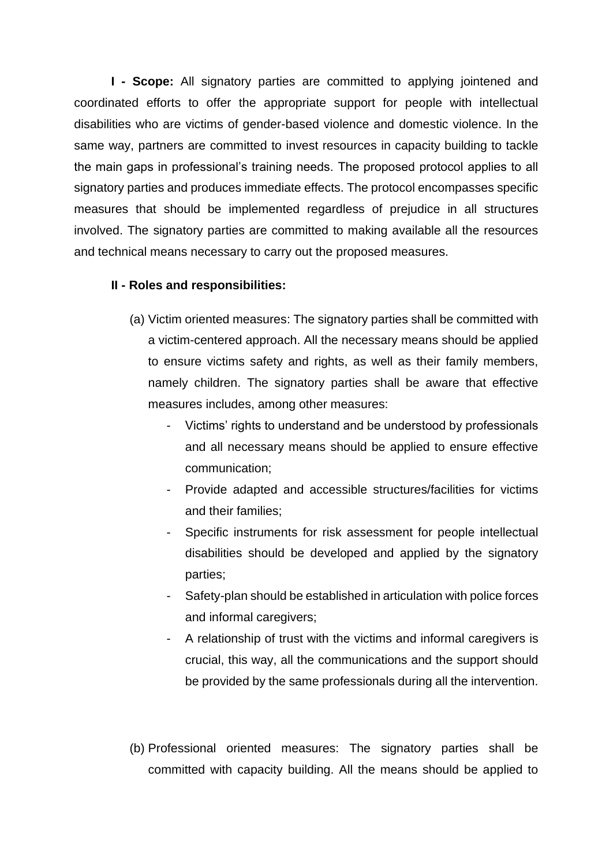**I - Scope:** All signatory parties are committed to applying jointened and coordinated efforts to offer the appropriate support for people with intellectual disabilities who are victims of gender-based violence and domestic violence. In the same way, partners are committed to invest resources in capacity building to tackle the main gaps in professional's training needs. The proposed protocol applies to all signatory parties and produces immediate effects. The protocol encompasses specific measures that should be implemented regardless of prejudice in all structures involved. The signatory parties are committed to making available all the resources and technical means necessary to carry out the proposed measures.

#### **II - Roles and responsibilities:**

- (a) Victim oriented measures: The signatory parties shall be committed with a victim-centered approach. All the necessary means should be applied to ensure victims safety and rights, as well as their family members, namely children. The signatory parties shall be aware that effective measures includes, among other measures:
	- Victims' rights to understand and be understood by professionals and all necessary means should be applied to ensure effective communication;
	- Provide adapted and accessible structures/facilities for victims and their families;
	- Specific instruments for risk assessment for people intellectual disabilities should be developed and applied by the signatory parties;
	- Safety-plan should be established in articulation with police forces and informal caregivers;
	- A relationship of trust with the victims and informal caregivers is crucial, this way, all the communications and the support should be provided by the same professionals during all the intervention.

(b) Professional oriented measures: The signatory parties shall be committed with capacity building. All the means should be applied to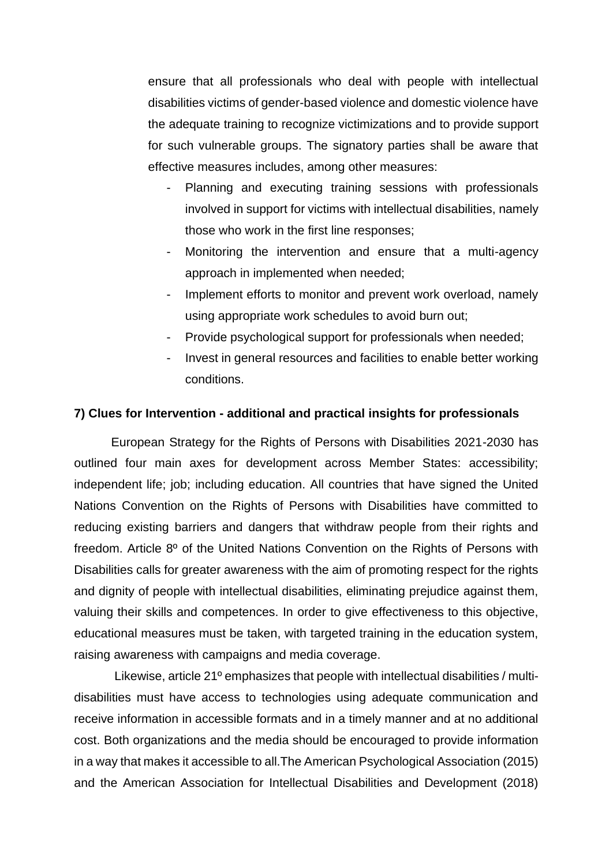ensure that all professionals who deal with people with intellectual disabilities victims of gender-based violence and domestic violence have the adequate training to recognize victimizations and to provide support for such vulnerable groups. The signatory parties shall be aware that effective measures includes, among other measures:

- Planning and executing training sessions with professionals involved in support for victims with intellectual disabilities, namely those who work in the first line responses;
- Monitoring the intervention and ensure that a multi-agency approach in implemented when needed;
- Implement efforts to monitor and prevent work overload, namely using appropriate work schedules to avoid burn out;
- Provide psychological support for professionals when needed;
- Invest in general resources and facilities to enable better working conditions.

#### **7) Clues for Intervention - additional and practical insights for professionals**

European Strategy for the Rights of Persons with Disabilities 2021-2030 has outlined four main axes for development across Member States: accessibility; independent life; job; including education. All countries that have signed the United Nations Convention on the Rights of Persons with Disabilities have committed to reducing existing barriers and dangers that withdraw people from their rights and freedom. Article 8º of the United Nations Convention on the Rights of Persons with Disabilities calls for greater awareness with the aim of promoting respect for the rights and dignity of people with intellectual disabilities, eliminating prejudice against them, valuing their skills and competences. In order to give effectiveness to this objective, educational measures must be taken, with targeted training in the education system, raising awareness with campaigns and media coverage.

Likewise, article 21º emphasizes that people with intellectual disabilities / multidisabilities must have access to technologies using adequate communication and receive information in accessible formats and in a timely manner and at no additional cost. Both organizations and the media should be encouraged to provide information in a way that makes it accessible to all.The American Psychological Association (2015) and the American Association for Intellectual Disabilities and Development (2018)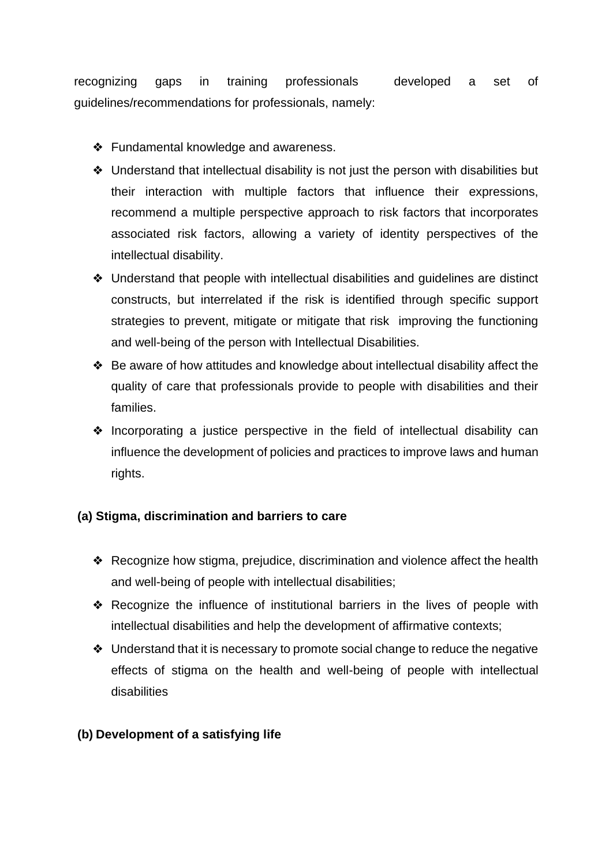recognizing gaps in training professionals developed a set of guidelines/recommendations for professionals, namely:

- ❖ Fundamental knowledge and awareness.
- ❖ Understand that intellectual disability is not just the person with disabilities but their interaction with multiple factors that influence their expressions, recommend a multiple perspective approach to risk factors that incorporates associated risk factors, allowing a variety of identity perspectives of the intellectual disability.
- ❖ Understand that people with intellectual disabilities and guidelines are distinct constructs, but interrelated if the risk is identified through specific support strategies to prevent, mitigate or mitigate that risk improving the functioning and well-being of the person with Intellectual Disabilities.
- ❖ Be aware of how attitudes and knowledge about intellectual disability affect the quality of care that professionals provide to people with disabilities and their families.
- ❖ Incorporating a justice perspective in the field of intellectual disability can influence the development of policies and practices to improve laws and human rights.

#### **(a) Stigma, discrimination and barriers to care**

- ❖ Recognize how stigma, prejudice, discrimination and violence affect the health and well-being of people with intellectual disabilities;
- ❖ Recognize the influence of institutional barriers in the lives of people with intellectual disabilities and help the development of affirmative contexts;
- ❖ Understand that it is necessary to promote social change to reduce the negative effects of stigma on the health and well-being of people with intellectual disabilities

#### **(b) Development of a satisfying life**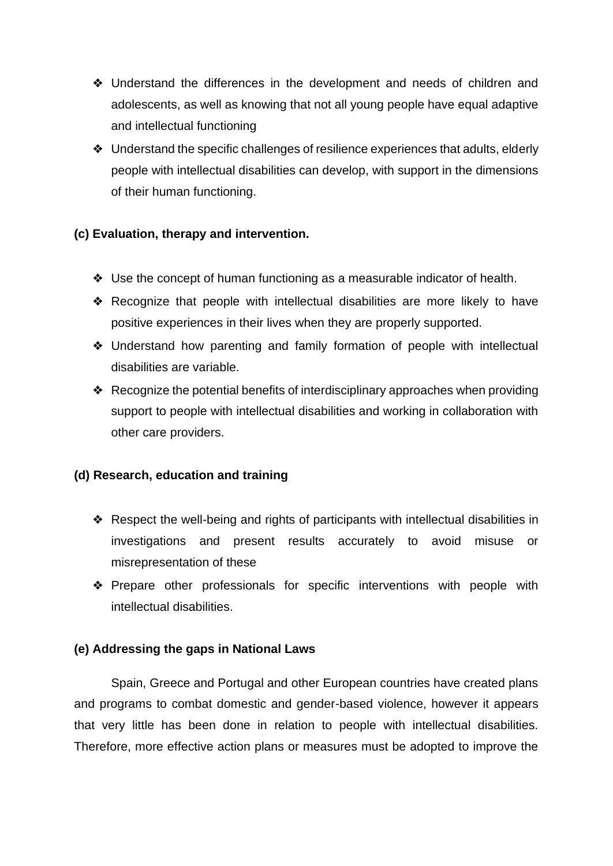- ❖ Understand the differences in the development and needs of children and adolescents, as well as knowing that not all young people have equal adaptive and intellectual functioning
- ❖ Understand the specific challenges of resilience experiences that adults, elderly people with intellectual disabilities can develop, with support in the dimensions of their human functioning.

#### **(c) Evaluation, therapy and intervention.**

- ❖ Use the concept of human functioning as a measurable indicator of health.
- ❖ Recognize that people with intellectual disabilities are more likely to have positive experiences in their lives when they are properly supported.
- ❖ Understand how parenting and family formation of people with intellectual disabilities are variable.
- ❖ Recognize the potential benefits of interdisciplinary approaches when providing support to people with intellectual disabilities and working in collaboration with other care providers.

#### **(d) Research, education and training**

- ❖ Respect the well-being and rights of participants with intellectual disabilities in investigations and present results accurately to avoid misuse or misrepresentation of these
- ❖ Prepare other professionals for specific interventions with people with intellectual disabilities.

#### **(e) Addressing the gaps in National Laws**

Spain, Greece and Portugal and other European countries have created plans and programs to combat domestic and gender-based violence, however it appears that very little has been done in relation to people with intellectual disabilities. Therefore, more effective action plans or measures must be adopted to improve the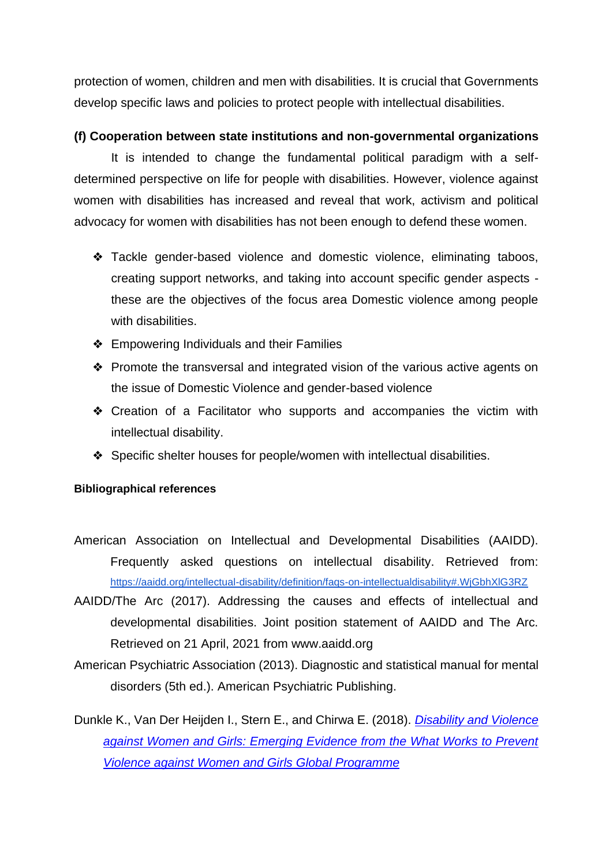protection of women, children and men with disabilities. It is crucial that Governments develop specific laws and policies to protect people with intellectual disabilities.

#### **(f) Cooperation between state institutions and non-governmental organizations**

It is intended to change the fundamental political paradigm with a selfdetermined perspective on life for people with disabilities. However, violence against women with disabilities has increased and reveal that work, activism and political advocacy for women with disabilities has not been enough to defend these women.

- ❖ Tackle gender-based violence and domestic violence, eliminating taboos, creating support networks, and taking into account specific gender aspects these are the objectives of the focus area Domestic violence among people with disabilities.
- ❖ Empowering Individuals and their Families
- ❖ Promote the transversal and integrated vision of the various active agents on the issue of Domestic Violence and gender-based violence
- ❖ Creation of a Facilitator who supports and accompanies the victim with intellectual disability.
- ❖ Specific shelter houses for people/women with intellectual disabilities.

#### **Bibliographical references**

- American Association on Intellectual and Developmental Disabilities (AAIDD). Frequently asked questions on intellectual disability. Retrieved from: <https://aaidd.org/intellectual-disability/definition/faqs-on-intellectualdisability#.WjGbhXlG3RZ>
- AAIDD/The Arc (2017). Addressing the causes and effects of intellectual and developmental disabilities. Joint position statement of AAIDD and The Arc. Retrieved on 21 April, 2021 from www.aaidd.org
- American Psychiatric Association (2013). Diagnostic and statistical manual for mental disorders (5th ed.). American Psychiatric Publishing.
- Dunkle K., Van Der Heijden I., Stern E., and Chirwa E. (2018)[.](https://www.whatworks.co.za/documents/publications/195-disability-brief-whatworks-23072018-web/file) *[Disability and Violence](https://www.whatworks.co.za/documents/publications/195-disability-brief-whatworks-23072018-web/file)  [against Women and Girls: Emerging Evidence from the What Works to Prevent](https://www.whatworks.co.za/documents/publications/195-disability-brief-whatworks-23072018-web/file)  [Violence against Women and Girls Global Programme](https://www.whatworks.co.za/documents/publications/195-disability-brief-whatworks-23072018-web/file)*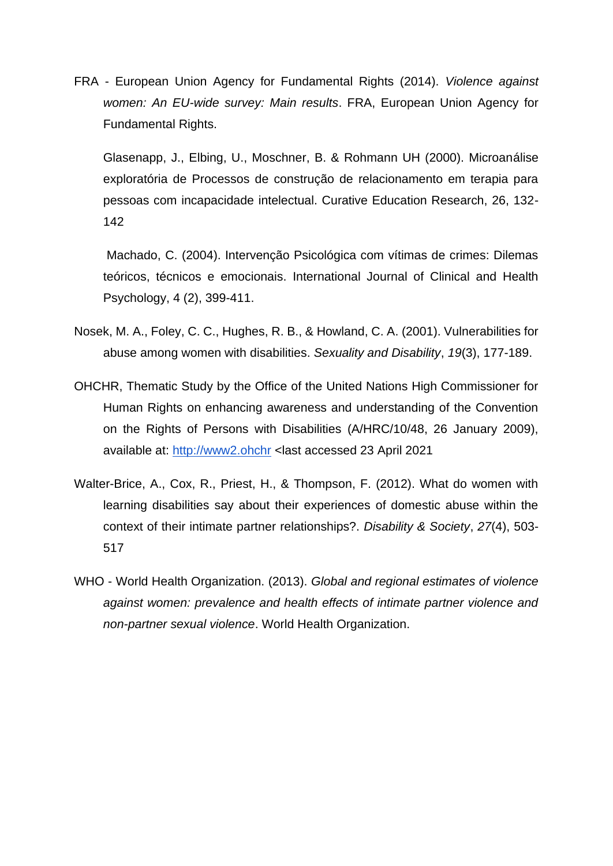FRA - European Union Agency for Fundamental Rights (2014). *Violence against women: An EU-wide survey: Main results*. FRA, European Union Agency for Fundamental Rights.

Glasenapp, J., Elbing, U., Moschner, B. & Rohmann UH (2000). Microanálise exploratória de Processos de construção de relacionamento em terapia para pessoas com incapacidade intelectual. Curative Education Research, 26, 132- 142

Machado, C. (2004). Intervenção Psicológica com vítimas de crimes: Dilemas teóricos, técnicos e emocionais. International Journal of Clinical and Health Psychology, 4 (2), 399-411.

- Nosek, M. A., Foley, C. C., Hughes, R. B., & Howland, C. A. (2001). Vulnerabilities for abuse among women with disabilities. *Sexuality and Disability*, *19*(3), 177-189.
- OHCHR, Thematic Study by the Office of the United Nations High Commissioner for Human Rights on enhancing awareness and understanding of the Convention on the Rights of Persons with Disabilities (A/HRC/10/48, 26 January 2009), available at: [http://www2.ohchr](http://www2.ohchr/) <last accessed 23 April 2021
- Walter-Brice, A., Cox, R., Priest, H., & Thompson, F. (2012). What do women with learning disabilities say about their experiences of domestic abuse within the context of their intimate partner relationships?. *Disability & Society*, *27*(4), 503- 517
- WHO World Health Organization. (2013). *Global and regional estimates of violence against women: prevalence and health effects of intimate partner violence and non-partner sexual violence*. World Health Organization.